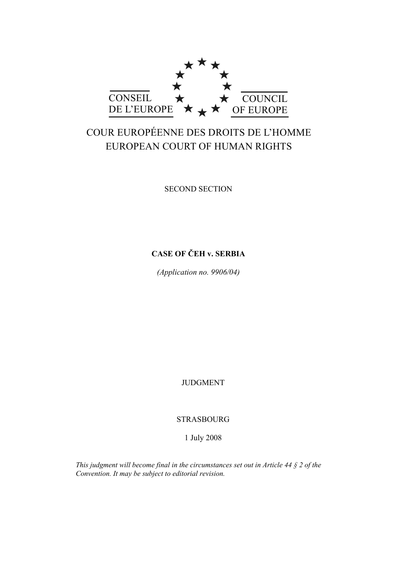

# COUR EUROPÉENNE DES DROITS DE L'HOMME EUROPEAN COURT OF HUMAN RIGHTS

SECOND SECTION

## **CASE OF ČEH v. SERBIA**

*(Application no. 9906/04)* 

JUDGMENT

STRASBOURG

1 July 2008

*This judgment will become final in the circumstances set out in Article 44 § 2 of the Convention. It may be subject to editorial revision.*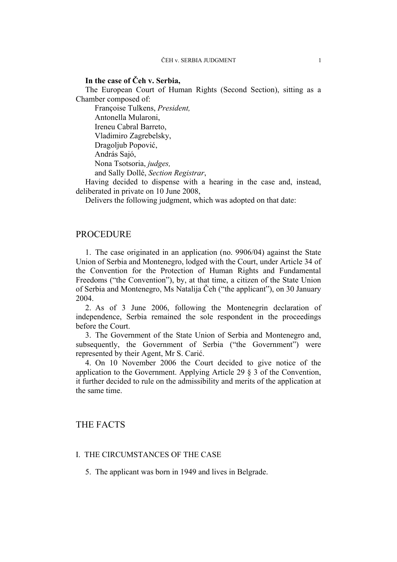### **In the case of Čeh v. Serbia,**

The European Court of Human Rights (Second Section), sitting as a Chamber composed of:

 Françoise Tulkens, *President,*  Antonella Mularoni, Ireneu Cabral Barreto, Vladimiro Zagrebelsky, Dragoljub Popović, András Sajó, Nona Tsotsoria, *judges,*  and Sally Dollé, *Section Registrar*,

Having decided to dispense with a hearing in the case and, instead, deliberated in private on 10 June 2008,

Delivers the following judgment, which was adopted on that date:

### PROCEDURE

1. The case originated in an application (no. 9906/04) against the State Union of Serbia and Montenegro, lodged with the Court, under Article 34 of the Convention for the Protection of Human Rights and Fundamental Freedoms ("the Convention"), by, at that time, a citizen of the State Union of Serbia and Montenegro, Ms Natalija Čeh ("the applicant"), on 30 January 2004.

2. As of 3 June 2006, following the Montenegrin declaration of independence, Serbia remained the sole respondent in the proceedings before the Court.

3. The Government of the State Union of Serbia and Montenegro and, subsequently, the Government of Serbia ("the Government") were represented by their Agent, Mr S. Carić.

4. On 10 November 2006 the Court decided to give notice of the application to the Government. Applying Article 29 § 3 of the Convention, it further decided to rule on the admissibility and merits of the application at the same time.

### THE FACTS

### I. THE CIRCUMSTANCES OF THE CASE

5. The applicant was born in 1949 and lives in Belgrade.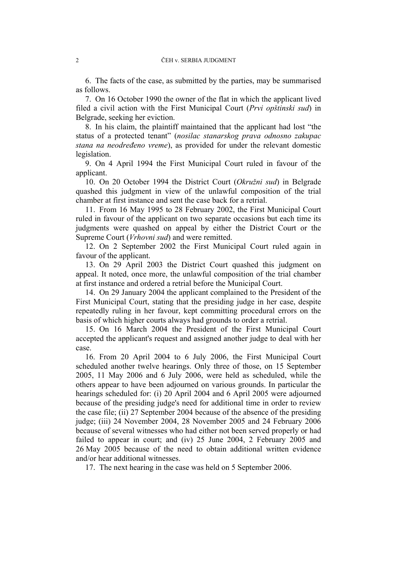6. The facts of the case, as submitted by the parties, may be summarised as follows.

7. On 16 October 1990 the owner of the flat in which the applicant lived filed a civil action with the First Municipal Court (*Prvi opštinski sud*) in Belgrade, seeking her eviction.

8. In his claim, the plaintiff maintained that the applicant had lost "the status of a protected tenant" (*nosilac stanarskog prava odnosno zakupac stana na neodređeno vreme*), as provided for under the relevant domestic legislation.

9. On 4 April 1994 the First Municipal Court ruled in favour of the applicant.

10. On 20 October 1994 the District Court (*Okružni sud*) in Belgrade quashed this judgment in view of the unlawful composition of the trial chamber at first instance and sent the case back for a retrial.

11. From 16 May 1995 to 28 February 2002, the First Municipal Court ruled in favour of the applicant on two separate occasions but each time its judgments were quashed on appeal by either the District Court or the Supreme Court (*Vrhovni sud*) and were remitted.

12. On 2 September 2002 the First Municipal Court ruled again in favour of the applicant.

13. On 29 April 2003 the District Court quashed this judgment on appeal. It noted, once more, the unlawful composition of the trial chamber at first instance and ordered a retrial before the Municipal Court.

14. On 29 January 2004 the applicant complained to the President of the First Municipal Court, stating that the presiding judge in her case, despite repeatedly ruling in her favour, kept committing procedural errors on the basis of which higher courts always had grounds to order a retrial.

15. On 16 March 2004 the President of the First Municipal Court accepted the applicant's request and assigned another judge to deal with her case.

16. From 20 April 2004 to 6 July 2006, the First Municipal Court scheduled another twelve hearings. Only three of those, on 15 September 2005, 11 May 2006 and 6 July 2006, were held as scheduled, while the others appear to have been adjourned on various grounds. In particular the hearings scheduled for: (i) 20 April 2004 and 6 April 2005 were adjourned because of the presiding judge's need for additional time in order to review the case file; (ii) 27 September 2004 because of the absence of the presiding judge; (iii) 24 November 2004, 28 November 2005 and 24 February 2006 because of several witnesses who had either not been served properly or had failed to appear in court; and (iv) 25 June 2004, 2 February 2005 and 26 May 2005 because of the need to obtain additional written evidence and/or hear additional witnesses.

17. The next hearing in the case was held on 5 September 2006.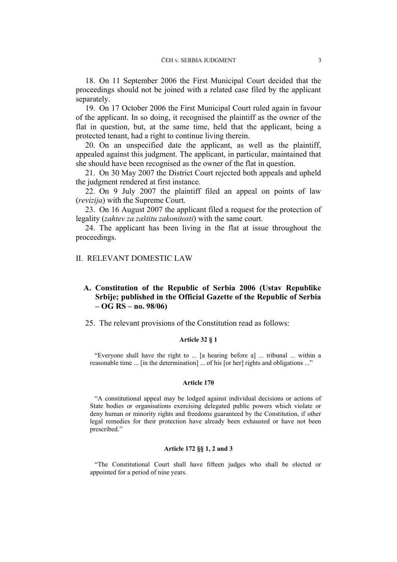18. On 11 September 2006 the First Municipal Court decided that the proceedings should not be joined with a related case filed by the applicant separately.

19. On 17 October 2006 the First Municipal Court ruled again in favour of the applicant. In so doing, it recognised the plaintiff as the owner of the flat in question, but, at the same time, held that the applicant, being a protected tenant, had a right to continue living therein.

20. On an unspecified date the applicant, as well as the plaintiff, appealed against this judgment. The applicant, in particular, maintained that she should have been recognised as the owner of the flat in question.

21. On 30 May 2007 the District Court rejected both appeals and upheld the judgment rendered at first instance.

22. On 9 July 2007 the plaintiff filed an appeal on points of law (*revizija*) with the Supreme Court.

23. On 16 August 2007 the applicant filed a request for the protection of legality (*zahtev za zaštitu zakonitosti*) with the same court.

24. The applicant has been living in the flat at issue throughout the proceedings.

### II. RELEVANT DOMESTIC LAW

### **A. Constitution of the Republic of Serbia 2006 (Ustav Republike Srbije; published in the Official Gazette of the Republic of Serbia – OG RS – no. 98/06)**

25. The relevant provisions of the Constitution read as follows:

### **Article 32 § 1**

"Everyone shall have the right to ... [a hearing before a] ... tribunal ... within a reasonable time ... [in the determination] ... of his [or her] rights and obligations ..."

### **Article 170**

"A constitutional appeal may be lodged against individual decisions or actions of State bodies or organisations exercising delegated public powers which violate or deny human or minority rights and freedoms guaranteed by the Constitution, if other legal remedies for their protection have already been exhausted or have not been prescribed."

#### **Article 172 §§ 1, 2 and 3**

"The Constitutional Court shall have fifteen judges who shall be elected or appointed for a period of nine years.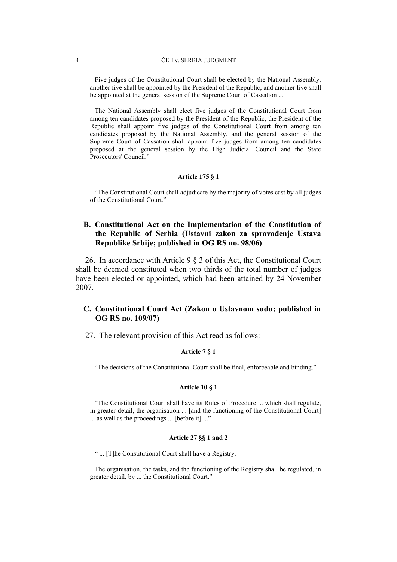Five judges of the Constitutional Court shall be elected by the National Assembly, another five shall be appointed by the President of the Republic, and another five shall be appointed at the general session of the Supreme Court of Cassation ...

The National Assembly shall elect five judges of the Constitutional Court from among ten candidates proposed by the President of the Republic, the President of the Republic shall appoint five judges of the Constitutional Court from among ten candidates proposed by the National Assembly, and the general session of the Supreme Court of Cassation shall appoint five judges from among ten candidates proposed at the general session by the High Judicial Council and the State Prosecutors' Council."

### **Article 175 § 1**

"The Constitutional Court shall adjudicate by the majority of votes cast by all judges of the Constitutional Court."

### **B. Constitutional Act on the Implementation of the Constitution of the Republic of Serbia (Ustavni zakon za sprovođenje Ustava Republike Srbije; published in OG RS no. 98/06)**

26. In accordance with Article 9 § 3 of this Act, the Constitutional Court shall be deemed constituted when two thirds of the total number of judges have been elected or appointed, which had been attained by 24 November 2007.

### **C. Constitutional Court Act (Zakon o Ustavnom sudu; published in OG RS no. 109/07)**

27. The relevant provision of this Act read as follows:

#### **Article 7 § 1**

"The decisions of the Constitutional Court shall be final, enforceable and binding."

#### **Article 10 § 1**

"The Constitutional Court shall have its Rules of Procedure ... which shall regulate, in greater detail, the organisation ... [and the functioning of the Constitutional Court] ... as well as the proceedings ... [before it] ..."

#### **Article 27 §§ 1 and 2**

" ... [T]he Constitutional Court shall have a Registry.

The organisation, the tasks, and the functioning of the Registry shall be regulated, in greater detail, by ... the Constitutional Court."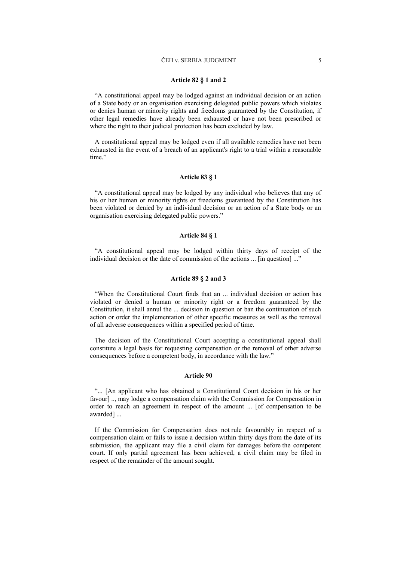#### ČEH v. SERBIA JUDGMENT 5

#### **Article 82 § 1 and 2**

"A constitutional appeal may be lodged against an individual decision or an action of a State body or an organisation exercising delegated public powers which violates or denies human or minority rights and freedoms guaranteed by the Constitution, if other legal remedies have already been exhausted or have not been prescribed or where the right to their judicial protection has been excluded by law.

A constitutional appeal may be lodged even if all available remedies have not been exhausted in the event of a breach of an applicant's right to a trial within a reasonable time."

#### **Article 83 § 1**

"A constitutional appeal may be lodged by any individual who believes that any of his or her human or minority rights or freedoms guaranteed by the Constitution has been violated or denied by an individual decision or an action of a State body or an organisation exercising delegated public powers."

#### **Article 84 § 1**

"A constitutional appeal may be lodged within thirty days of receipt of the individual decision or the date of commission of the actions ... [in question] ..."

#### **Article 89 § 2 and 3**

"When the Constitutional Court finds that an ... individual decision or action has violated or denied a human or minority right or a freedom guaranteed by the Constitution, it shall annul the ... decision in question or ban the continuation of such action or order the implementation of other specific measures as well as the removal of all adverse consequences within a specified period of time.

The decision of the Constitutional Court accepting a constitutional appeal shall constitute a legal basis for requesting compensation or the removal of other adverse consequences before a competent body, in accordance with the law."

#### **Article 90**

"... [An applicant who has obtained a Constitutional Court decision in his or her favour] .., may lodge a compensation claim with the Commission for Compensation in order to reach an agreement in respect of the amount ... [of compensation to be awarded] ...

If the Commission for Compensation does not rule favourably in respect of a compensation claim or fails to issue a decision within thirty days from the date of its submission, the applicant may file a civil claim for damages before the competent court. If only partial agreement has been achieved, a civil claim may be filed in respect of the remainder of the amount sought.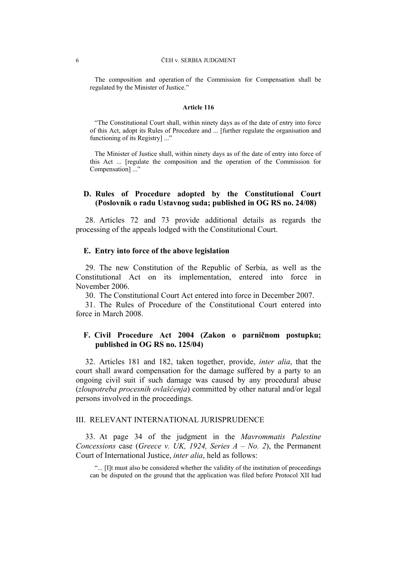#### 6 ČEH v. SERBIA JUDGMENT

The composition and operation of the Commission for Compensation shall be regulated by the Minister of Justice."

#### **Article 116**

"The Constitutional Court shall, within ninety days as of the date of entry into force of this Act, adopt its Rules of Procedure and ... [further regulate the organisation and functioning of its Registry] ..."

The Minister of Justice shall, within ninety days as of the date of entry into force of this Act ... [regulate the composition and the operation of the Commission for Compensation] ..."

### **D. Rules of Procedure adopted by the Constitutional Court (Poslovnik o radu Ustavnog suda; published in OG RS no. 24/08)**

28. Articles 72 and 73 provide additional details as regards the processing of the appeals lodged with the Constitutional Court.

### **E. Entry into force of the above legislation**

29. The new Constitution of the Republic of Serbia, as well as the Constitutional Act on its implementation, entered into force in November 2006.

30. The Constitutional Court Act entered into force in December 2007.

31. The Rules of Procedure of the Constitutional Court entered into force in March 2008.

### **F. Civil Procedure Act 2004 (Zakon o parničnom postupku; published in OG RS no. 125/04)**

32. Articles 181 and 182, taken together, provide, *inter alia*, that the court shall award compensation for the damage suffered by a party to an ongoing civil suit if such damage was caused by any procedural abuse (*zloupotreba procesnih ovlašćenja*) committed by other natural and/or legal persons involved in the proceedings.

### III. RELEVANT INTERNATIONAL JURISPRUDENCE

33. At page 34 of the judgment in the *Mavrommatis Palestine Concessions* case (*Greece v. UK, 1924, Series A – No. 2*), the Permanent Court of International Justice, *inter alia*, held as follows:

"... [I]t must also be considered whether the validity of the institution of proceedings can be disputed on the ground that the application was filed before Protocol XII had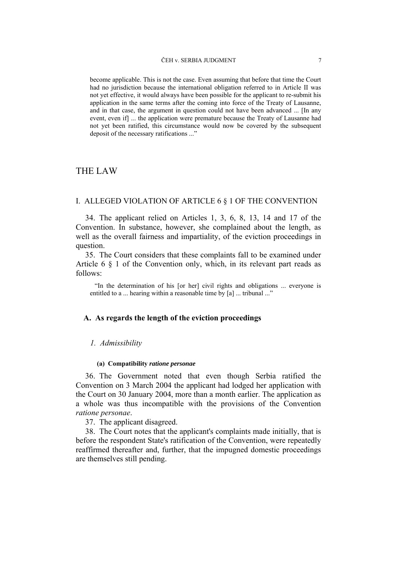become applicable. This is not the case. Even assuming that before that time the Court had no jurisdiction because the international obligation referred to in Article II was not yet effective, it would always have been possible for the applicant to re-submit his application in the same terms after the coming into force of the Treaty of Lausanne, and in that case, the argument in question could not have been advanced ... [In any event, even if] ... the application were premature because the Treaty of Lausanne had not yet been ratified, this circumstance would now be covered by the subsequent deposit of the necessary ratifications ..."

### THE LAW

### I. ALLEGED VIOLATION OF ARTICLE 6 § 1 OF THE CONVENTION

34. The applicant relied on Articles 1, 3, 6, 8, 13, 14 and 17 of the Convention. In substance, however, she complained about the length, as well as the overall fairness and impartiality, of the eviction proceedings in question.

35. The Court considers that these complaints fall to be examined under Article 6 § 1 of the Convention only, which, in its relevant part reads as follows:

"In the determination of his [or her] civil rights and obligations ... everyone is entitled to a ... hearing within a reasonable time by [a] ... tribunal ..."

### **A. As regards the length of the eviction proceedings**

### *1. Admissibility*

#### **(a) Compatibility** *ratione personae*

36. The Government noted that even though Serbia ratified the Convention on 3 March 2004 the applicant had lodged her application with the Court on 30 January 2004, more than a month earlier. The application as a whole was thus incompatible with the provisions of the Convention *ratione personae*.

37. The applicant disagreed.

38. The Court notes that the applicant's complaints made initially, that is before the respondent State's ratification of the Convention, were repeatedly reaffirmed thereafter and, further, that the impugned domestic proceedings are themselves still pending.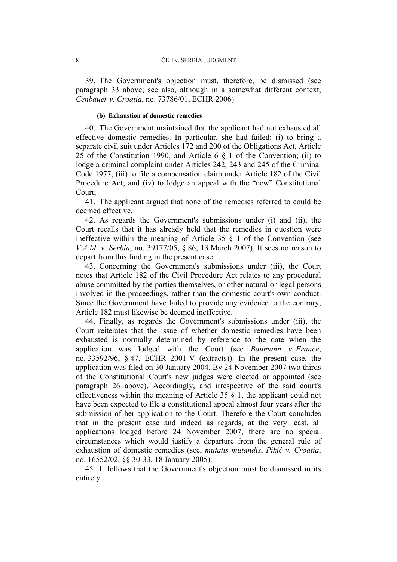39. The Government's objection must, therefore, be dismissed (see paragraph 33 above; see also, although in a somewhat different context, *Cenbauer v. Croatia*, no. 73786/01, ECHR 2006).

### **(b) Exhaustion of domestic remedies**

40. The Government maintained that the applicant had not exhausted all effective domestic remedies. In particular, she had failed: (i) to bring a separate civil suit under Articles 172 and 200 of the Obligations Act, Article 25 of the Constitution 1990, and Article 6 § 1 of the Convention; (ii) to lodge a criminal complaint under Articles 242, 243 and 245 of the Criminal Code 1977; (iii) to file a compensation claim under Article 182 of the Civil Procedure Act; and (iv) to lodge an appeal with the "new" Constitutional Court;

41. The applicant argued that none of the remedies referred to could be deemed effective.

42. As regards the Government's submissions under (i) and (ii), the Court recalls that it has already held that the remedies in question were ineffective within the meaning of Article  $35 \t S$  1 of the Convention (see *V.A.M. v. Serbia*, no. 39177/05, § 86, 13 March 2007). It sees no reason to depart from this finding in the present case.

43. Concerning the Government's submissions under (iii), the Court notes that Article 182 of the Civil Procedure Act relates to any procedural abuse committed by the parties themselves, or other natural or legal persons involved in the proceedings, rather than the domestic court's own conduct. Since the Government have failed to provide any evidence to the contrary, Article 182 must likewise be deemed ineffective.

44. Finally, as regards the Government's submissions under (iii), the Court reiterates that the issue of whether domestic remedies have been exhausted is normally determined by reference to the date when the application was lodged with the Court (see *Baumann v. France*, no. 33592/96, § 47, ECHR 2001-V (extracts)). In the present case, the application was filed on 30 January 2004. By 24 November 2007 two thirds of the Constitutional Court's new judges were elected or appointed (see paragraph 26 above). Accordingly, and irrespective of the said court's effectiveness within the meaning of Article 35 § 1, the applicant could not have been expected to file a constitutional appeal almost four years after the submission of her application to the Court. Therefore the Court concludes that in the present case and indeed as regards, at the very least, all applications lodged before 24 November 2007, there are no special circumstances which would justify a departure from the general rule of exhaustion of domestic remedies (see, *mutatis mutandis*, *Pikić v. Croatia*, no. 16552/02, §§ 30-33, 18 January 2005).

45. It follows that the Government's objection must be dismissed in its entirety.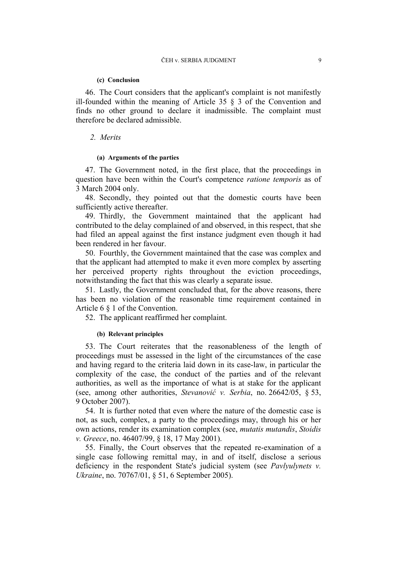#### **(c) Conclusion**

46. The Court considers that the applicant's complaint is not manifestly ill-founded within the meaning of Article 35 § 3 of the Convention and finds no other ground to declare it inadmissible. The complaint must therefore be declared admissible.

### *2. Merits*

### **(a) Arguments of the parties**

47. The Government noted, in the first place, that the proceedings in question have been within the Court's competence *ratione temporis* as of 3 March 2004 only.

48. Secondly, they pointed out that the domestic courts have been sufficiently active thereafter.

49. Thirdly, the Government maintained that the applicant had contributed to the delay complained of and observed, in this respect, that she had filed an appeal against the first instance judgment even though it had been rendered in her favour.

50. Fourthly, the Government maintained that the case was complex and that the applicant had attempted to make it even more complex by asserting her perceived property rights throughout the eviction proceedings, notwithstanding the fact that this was clearly a separate issue.

51. Lastly, the Government concluded that, for the above reasons, there has been no violation of the reasonable time requirement contained in Article 6 § 1 of the Convention.

52. The applicant reaffirmed her complaint.

### **(b) Relevant principles**

53. The Court reiterates that the reasonableness of the length of proceedings must be assessed in the light of the circumstances of the case and having regard to the criteria laid down in its case-law, in particular the complexity of the case, the conduct of the parties and of the relevant authorities, as well as the importance of what is at stake for the applicant (see, among other authorities, *Stevanović v. Serbia*, no. 26642/05, § 53, 9 October 2007).

54. It is further noted that even where the nature of the domestic case is not, as such, complex, a party to the proceedings may, through his or her own actions, render its examination complex (see, *mutatis mutandis*, *Stoidis v. Greece*, no. 46407/99, § 18, 17 May 2001).

55. Finally, the Court observes that the repeated re-examination of a single case following remittal may, in and of itself, disclose a serious deficiency in the respondent State's judicial system (see *Pavlyulynets v. Ukraine*, no. 70767/01, § 51, 6 September 2005).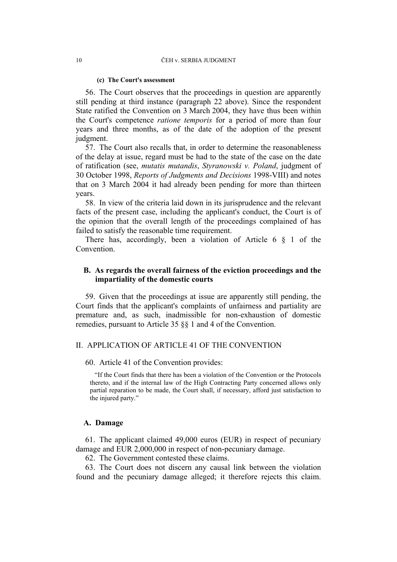#### **(c) The Court's assessment**

56. The Court observes that the proceedings in question are apparently still pending at third instance (paragraph 22 above). Since the respondent State ratified the Convention on 3 March 2004, they have thus been within the Court's competence *ratione temporis* for a period of more than four years and three months, as of the date of the adoption of the present judgment.

57. The Court also recalls that, in order to determine the reasonableness of the delay at issue, regard must be had to the state of the case on the date of ratification (see, *mutatis mutandis*, *Styranowski v. Poland*, judgment of 30 October 1998, *Reports of Judgments and Decisions* 1998-VIII) and notes that on 3 March 2004 it had already been pending for more than thirteen years.

58. In view of the criteria laid down in its jurisprudence and the relevant facts of the present case, including the applicant's conduct, the Court is of the opinion that the overall length of the proceedings complained of has failed to satisfy the reasonable time requirement.

There has, accordingly, been a violation of Article 6 § 1 of the Convention.

### **B. As regards the overall fairness of the eviction proceedings and the impartiality of the domestic courts**

59. Given that the proceedings at issue are apparently still pending, the Court finds that the applicant's complaints of unfairness and partiality are premature and, as such, inadmissible for non-exhaustion of domestic remedies, pursuant to Article 35 §§ 1 and 4 of the Convention.

### II. APPLICATION OF ARTICLE 41 OF THE CONVENTION

### 60. Article 41 of the Convention provides:

"If the Court finds that there has been a violation of the Convention or the Protocols thereto, and if the internal law of the High Contracting Party concerned allows only partial reparation to be made, the Court shall, if necessary, afford just satisfaction to the injured party."

#### **A. Damage**

61. The applicant claimed 49,000 euros (EUR) in respect of pecuniary damage and EUR 2,000,000 in respect of non-pecuniary damage.

62. The Government contested these claims.

63. The Court does not discern any causal link between the violation found and the pecuniary damage alleged; it therefore rejects this claim.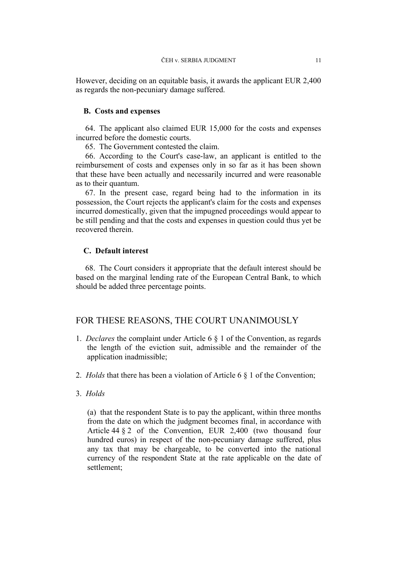However, deciding on an equitable basis, it awards the applicant EUR 2,400 as regards the non-pecuniary damage suffered.

### **B. Costs and expenses**

64. The applicant also claimed EUR 15,000 for the costs and expenses incurred before the domestic courts.

65. The Government contested the claim.

66. According to the Court's case-law, an applicant is entitled to the reimbursement of costs and expenses only in so far as it has been shown that these have been actually and necessarily incurred and were reasonable as to their quantum.

67. In the present case, regard being had to the information in its possession, the Court rejects the applicant's claim for the costs and expenses incurred domestically, given that the impugned proceedings would appear to be still pending and that the costs and expenses in question could thus yet be recovered therein.

### **C. Default interest**

68. The Court considers it appropriate that the default interest should be based on the marginal lending rate of the European Central Bank, to which should be added three percentage points.

### FOR THESE REASONS, THE COURT UNANIMOUSLY

- 1. *Declares* the complaint under Article 6 § 1 of the Convention, as regards the length of the eviction suit, admissible and the remainder of the application inadmissible;
- 2. *Holds* that there has been a violation of Article 6 § 1 of the Convention;
- 3. *Holds*

(a) that the respondent State is to pay the applicant, within three months from the date on which the judgment becomes final, in accordance with Article 44 § 2 of the Convention, EUR 2,400 (two thousand four hundred euros) in respect of the non-pecuniary damage suffered, plus any tax that may be chargeable, to be converted into the national currency of the respondent State at the rate applicable on the date of settlement;